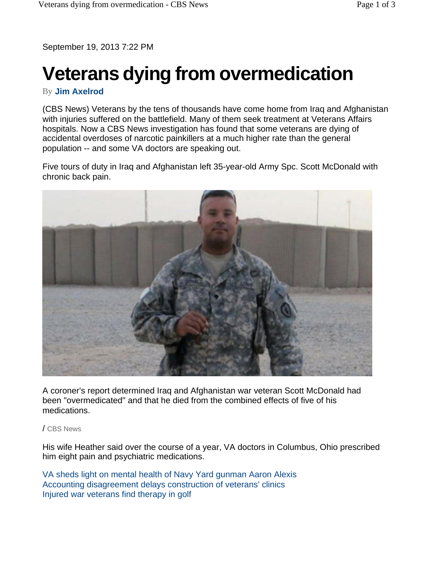September 19, 2013 7:22 PM

## **Veterans dying from overmedication**

## By **Jim Axelrod**

(CBS News) Veterans by the tens of thousands have come home from Iraq and Afghanistan with injuries suffered on the battlefield. Many of them seek treatment at Veterans Affairs hospitals. Now a CBS News investigation has found that some veterans are dying of accidental overdoses of narcotic painkillers at a much higher rate than the general population -- and some VA doctors are speaking out.

Five tours of duty in Iraq and Afghanistan left 35-year-old Army Spc. Scott McDonald with chronic back pain.



A coroner's report determined Iraq and Afghanistan war veteran Scott McDonald had been "overmedicated" and that he died from the combined effects of five of his medications.

/ CBS News

His wife Heather said over the course of a year, VA doctors in Columbus, Ohio prescribed him eight pain and psychiatric medications.

VA sheds light on mental health of Navy Yard gunman Aaron Alexis Accounting disagreement delays construction of veterans' clinics Injured war veterans find therapy in golf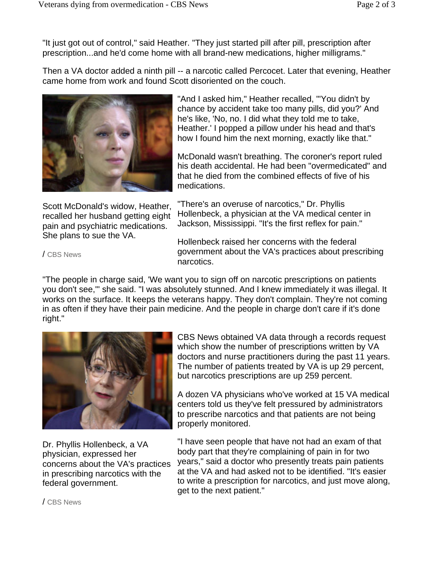"It just got out of control," said Heather. "They just started pill after pill, prescription after prescription...and he'd come home with all brand-new medications, higher milligrams."

Then a VA doctor added a ninth pill -- a narcotic called Percocet. Later that evening, Heather came home from work and found Scott disoriented on the couch.



Scott McDonald's widow, Heather, recalled her husband getting eight pain and psychiatric medications. She plans to sue the VA.

"And I asked him," Heather recalled, "'You didn't by chance by accident take too many pills, did you?' And he's like, 'No, no. I did what they told me to take, Heather.' I popped a pillow under his head and that's how I found him the next morning, exactly like that."

McDonald wasn't breathing. The coroner's report ruled his death accidental. He had been "overmedicated" and that he died from the combined effects of five of his medications.

"There's an overuse of narcotics," Dr. Phyllis Hollenbeck, a physician at the VA medical center in Jackson, Mississippi. "It's the first reflex for pain."

Hollenbeck raised her concerns with the federal government about the VA's practices about prescribing narcotics.

"The people in charge said, 'We want you to sign off on narcotic prescriptions on patients you don't see,'" she said. "I was absolutely stunned. And I knew immediately it was illegal. It works on the surface. It keeps the veterans happy. They don't complain. They're not coming in as often if they have their pain medicine. And the people in charge don't care if it's done right."



Dr. Phyllis Hollenbeck, a VA physician, expressed her concerns about the VA's practices in prescribing narcotics with the federal government.

CBS News obtained VA data through a records request which show the number of prescriptions written by VA doctors and nurse practitioners during the past 11 years. The number of patients treated by VA is up 29 percent, but narcotics prescriptions are up 259 percent.

A dozen VA physicians who've worked at 15 VA medical centers told us they've felt pressured by administrators to prescribe narcotics and that patients are not being properly monitored.

"I have seen people that have not had an exam of that body part that they're complaining of pain in for two years," said a doctor who presently treats pain patients at the VA and had asked not to be identified. "It's easier to write a prescription for narcotics, and just move along, get to the next patient."

/ CBS News

/ CBS News